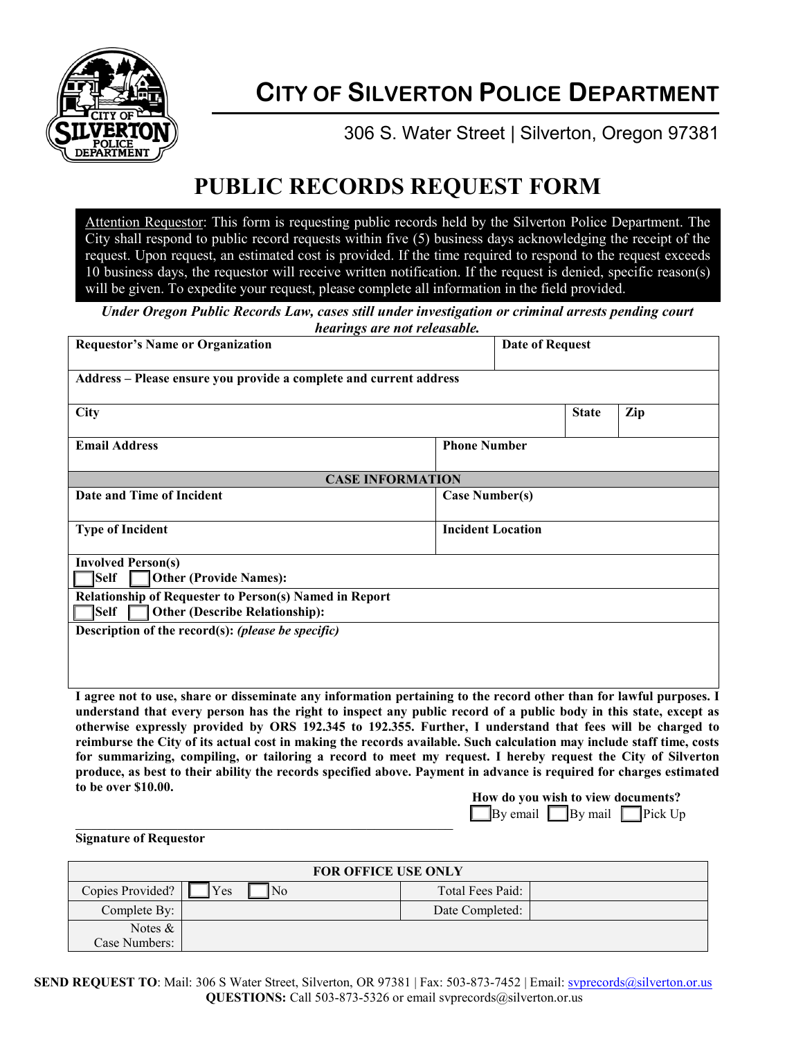

## **CITY OF SILVERTON POLICE DEPARTMENT**

306 S. Water Street | Silverton, Oregon 97381

## **PUBLIC RECORDS REQUEST FORM**

Attention Requestor: This form is requesting public records held by the Silverton Police Department. The City shall respond to public record requests within five (5) business days acknowledging the receipt of the request. Upon request, an estimated cost is provided. If the time required to respond to the request exceeds 10 business days, the requestor will receive written notification. If the request is denied, specific reason(s) will be given. To expedite your request, please complete all information in the field provided.

*Under Oregon Public Records Law, cases still under investigation or criminal arrests pending court hearings are not releasable.*

| <b>Requestor's Name or Organization</b>                                                                                                                                                                                                                                                                                                                                                                                                                                                                                                                                                                                                                                                                                                       |                          | <b>Date of Request</b>                                               |              |                   |  |  |
|-----------------------------------------------------------------------------------------------------------------------------------------------------------------------------------------------------------------------------------------------------------------------------------------------------------------------------------------------------------------------------------------------------------------------------------------------------------------------------------------------------------------------------------------------------------------------------------------------------------------------------------------------------------------------------------------------------------------------------------------------|--------------------------|----------------------------------------------------------------------|--------------|-------------------|--|--|
| Address - Please ensure you provide a complete and current address                                                                                                                                                                                                                                                                                                                                                                                                                                                                                                                                                                                                                                                                            |                          |                                                                      |              |                   |  |  |
| <b>City</b>                                                                                                                                                                                                                                                                                                                                                                                                                                                                                                                                                                                                                                                                                                                                   |                          |                                                                      | <b>State</b> | Zip               |  |  |
| <b>Email Address</b>                                                                                                                                                                                                                                                                                                                                                                                                                                                                                                                                                                                                                                                                                                                          | <b>Phone Number</b>      |                                                                      |              |                   |  |  |
| <b>CASE INFORMATION</b>                                                                                                                                                                                                                                                                                                                                                                                                                                                                                                                                                                                                                                                                                                                       |                          |                                                                      |              |                   |  |  |
| Date and Time of Incident                                                                                                                                                                                                                                                                                                                                                                                                                                                                                                                                                                                                                                                                                                                     | <b>Case Number(s)</b>    |                                                                      |              |                   |  |  |
| <b>Type of Incident</b>                                                                                                                                                                                                                                                                                                                                                                                                                                                                                                                                                                                                                                                                                                                       | <b>Incident Location</b> |                                                                      |              |                   |  |  |
| <b>Involved Person(s)</b><br> Self<br><b>Other (Provide Names):</b>                                                                                                                                                                                                                                                                                                                                                                                                                                                                                                                                                                                                                                                                           |                          |                                                                      |              |                   |  |  |
| Relationship of Requester to Person(s) Named in Report<br><b>Other (Describe Relationship):</b><br> Self                                                                                                                                                                                                                                                                                                                                                                                                                                                                                                                                                                                                                                      |                          |                                                                      |              |                   |  |  |
| Description of the record(s): (please be specific)                                                                                                                                                                                                                                                                                                                                                                                                                                                                                                                                                                                                                                                                                            |                          |                                                                      |              |                   |  |  |
|                                                                                                                                                                                                                                                                                                                                                                                                                                                                                                                                                                                                                                                                                                                                               |                          |                                                                      |              |                   |  |  |
| I agree not to use, share or disseminate any information pertaining to the record other than for lawful purposes. I<br>understand that every person has the right to inspect any public record of a public body in this state, except as<br>otherwise expressly provided by ORS 192.345 to 192.355. Further, I understand that fees will be charged to<br>reimburse the City of its actual cost in making the records available. Such calculation may include staff time, costs<br>for summarizing, compiling, or tailoring a record to meet my request. I hereby request the City of Silverton<br>produce, as best to their ability the records specified above. Payment in advance is required for charges estimated<br>to be over \$10.00. |                          |                                                                      |              |                   |  |  |
|                                                                                                                                                                                                                                                                                                                                                                                                                                                                                                                                                                                                                                                                                                                                               |                          | How do you wish to view documents?<br>By email $\Box$ By mail $\Box$ |              | $\exists$ Pick Up |  |  |

\_\_\_\_\_\_\_\_\_\_\_\_\_\_\_\_\_\_\_\_\_\_\_\_\_\_\_\_\_\_\_\_\_\_\_\_\_\_\_\_\_\_\_\_\_\_\_\_ **Signature of Requestor**

| <b>FOR OFFICE USE ONLY</b> |                       |                  |  |  |
|----------------------------|-----------------------|------------------|--|--|
| Copies Provided?           | N <sub>o</sub><br>Yes | Total Fees Paid: |  |  |
| Complete By:               |                       | Date Completed:  |  |  |
| Notes $&$                  |                       |                  |  |  |
| Case Numbers:              |                       |                  |  |  |